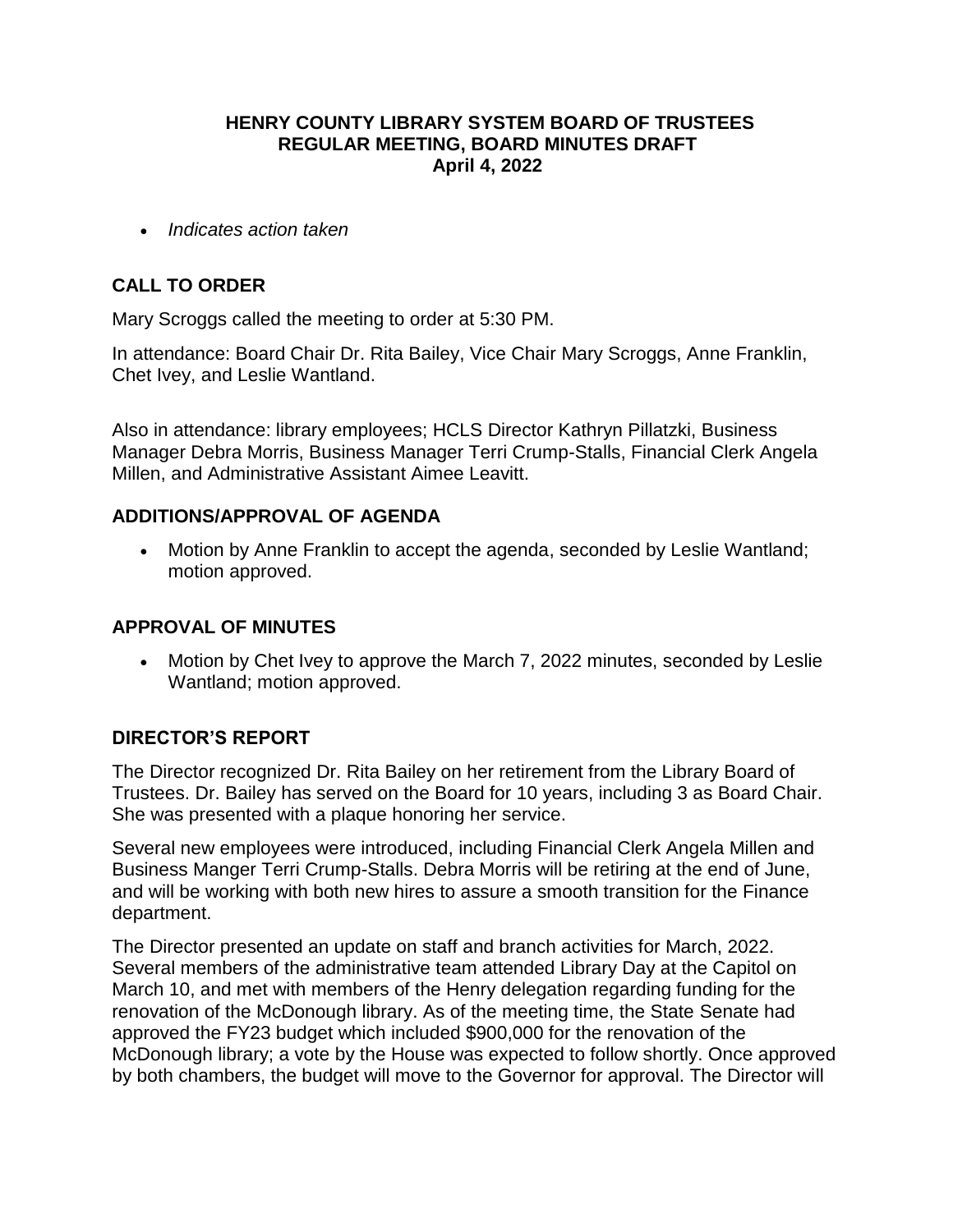### **HENRY COUNTY LIBRARY SYSTEM BOARD OF TRUSTEES REGULAR MEETING, BOARD MINUTES DRAFT April 4, 2022**

*Indicates action taken*

### **CALL TO ORDER**

Mary Scroggs called the meeting to order at 5:30 PM.

In attendance: Board Chair Dr. Rita Bailey, Vice Chair Mary Scroggs, Anne Franklin, Chet Ivey, and Leslie Wantland.

Also in attendance: library employees; HCLS Director Kathryn Pillatzki, Business Manager Debra Morris, Business Manager Terri Crump-Stalls, Financial Clerk Angela Millen, and Administrative Assistant Aimee Leavitt.

### **ADDITIONS/APPROVAL OF AGENDA**

 Motion by Anne Franklin to accept the agenda, seconded by Leslie Wantland; motion approved.

### **APPROVAL OF MINUTES**

 Motion by Chet Ivey to approve the March 7, 2022 minutes, seconded by Leslie Wantland; motion approved.

### **DIRECTOR'S REPORT**

The Director recognized Dr. Rita Bailey on her retirement from the Library Board of Trustees. Dr. Bailey has served on the Board for 10 years, including 3 as Board Chair. She was presented with a plaque honoring her service.

Several new employees were introduced, including Financial Clerk Angela Millen and Business Manger Terri Crump-Stalls. Debra Morris will be retiring at the end of June, and will be working with both new hires to assure a smooth transition for the Finance department.

The Director presented an update on staff and branch activities for March, 2022. Several members of the administrative team attended Library Day at the Capitol on March 10, and met with members of the Henry delegation regarding funding for the renovation of the McDonough library. As of the meeting time, the State Senate had approved the FY23 budget which included \$900,000 for the renovation of the McDonough library; a vote by the House was expected to follow shortly. Once approved by both chambers, the budget will move to the Governor for approval. The Director will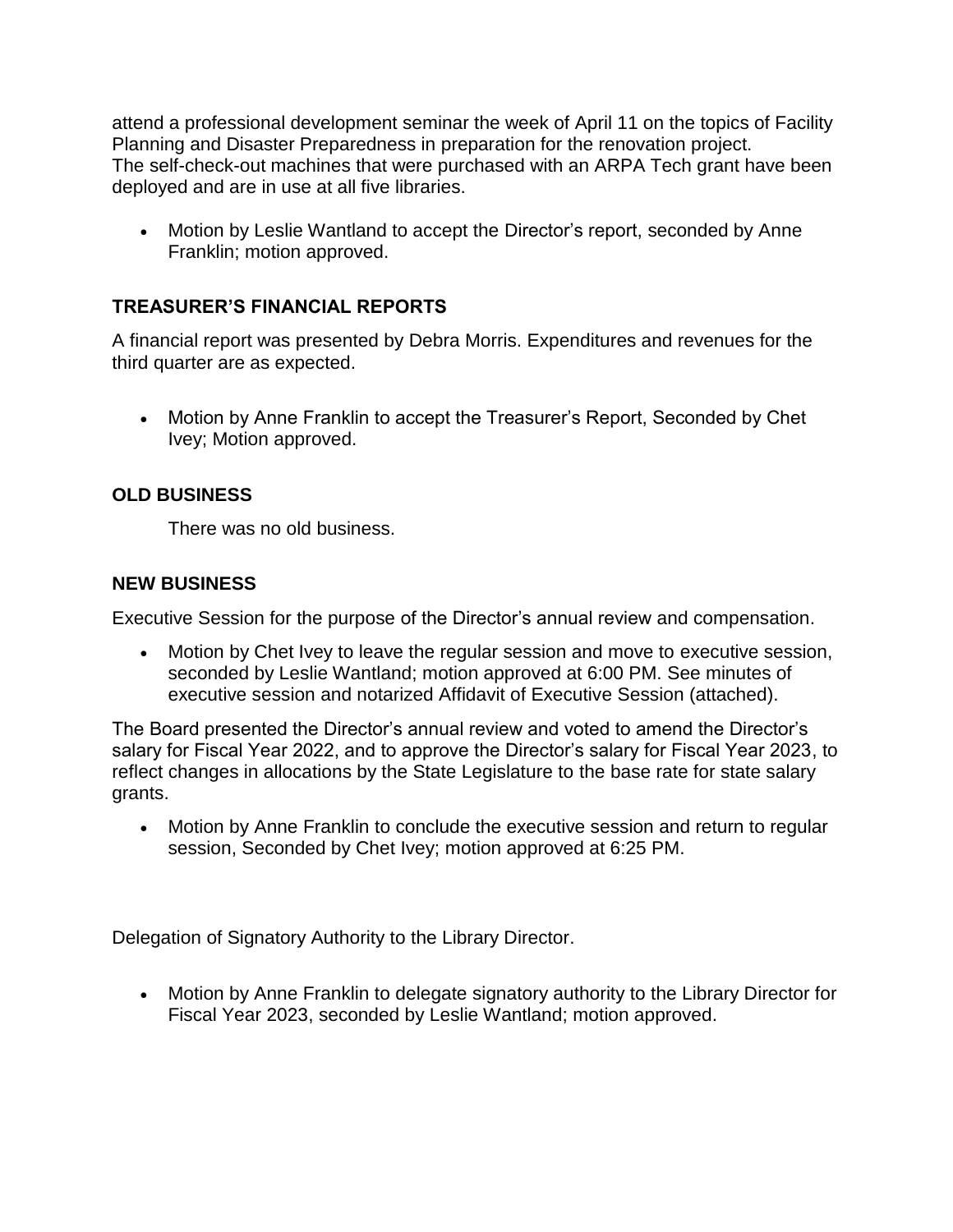attend a professional development seminar the week of April 11 on the topics of Facility Planning and Disaster Preparedness in preparation for the renovation project. The self-check-out machines that were purchased with an ARPA Tech grant have been deployed and are in use at all five libraries.

• Motion by Leslie Wantland to accept the Director's report, seconded by Anne Franklin; motion approved.

## **TREASURER'S FINANCIAL REPORTS**

A financial report was presented by Debra Morris. Expenditures and revenues for the third quarter are as expected.

 Motion by Anne Franklin to accept the Treasurer's Report, Seconded by Chet Ivey; Motion approved.

# **OLD BUSINESS**

There was no old business.

### **NEW BUSINESS**

Executive Session for the purpose of the Director's annual review and compensation.

 Motion by Chet Ivey to leave the regular session and move to executive session, seconded by Leslie Wantland; motion approved at 6:00 PM. See minutes of executive session and notarized Affidavit of Executive Session (attached).

The Board presented the Director's annual review and voted to amend the Director's salary for Fiscal Year 2022, and to approve the Director's salary for Fiscal Year 2023, to reflect changes in allocations by the State Legislature to the base rate for state salary grants.

 Motion by Anne Franklin to conclude the executive session and return to regular session, Seconded by Chet Ivey; motion approved at 6:25 PM.

Delegation of Signatory Authority to the Library Director.

 Motion by Anne Franklin to delegate signatory authority to the Library Director for Fiscal Year 2023, seconded by Leslie Wantland; motion approved.